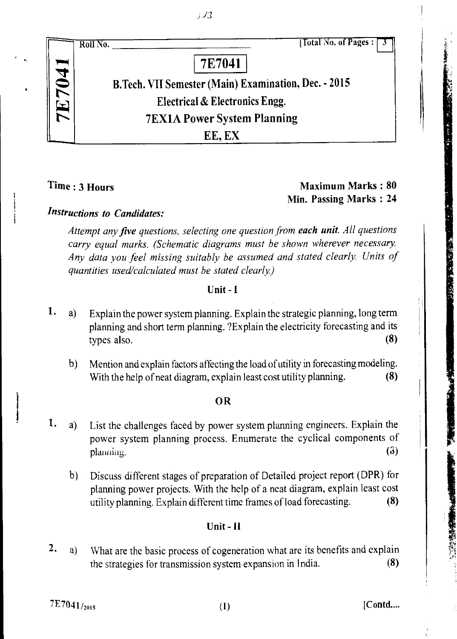

## Time : 3 Hours Maximum Marks : 80 Min. Passing Marks : 24

**RACTES CRE** 

*Instructions to Candidates:* 

*Attempt any five questions, selecting one question from each unit. All questions carry equal marks. (Schematic diagrams must be shown wherever necessary. Any data you feel missing suitably be assumed and stated clearly. Units of quantities used/calculated must be stated clearly)* 

## Unit - I

- 1. a) Explain the power system planning. Explain the strategic planning, long term planning and short term planning. ?Explain the electricity forecasting and its types also. (8)
	- Mention and explain factors affecting the load of utility in forecasting modeling.  $\mathbf{b}$ With the help of neat diagram, explain least cost utility planning. (8)

## OR

- 1. a) List the challenges faced by power system planning engineers. Explain the power system planning process. Enumerate the cyclical components of  $\mathbf{p}$ lanning. (3)
	- b) Discuss different stages of preparation of Detailed project report (DPR) for planning power projects. With the help of a neat diagram, explain least cost utility planning. Explain different time frames of load forecasting. (8)

## Unit - II

a) What are the basic process of cogeneration what are its benefits and explain the strategies for transmission system expansion in India. (8) 2.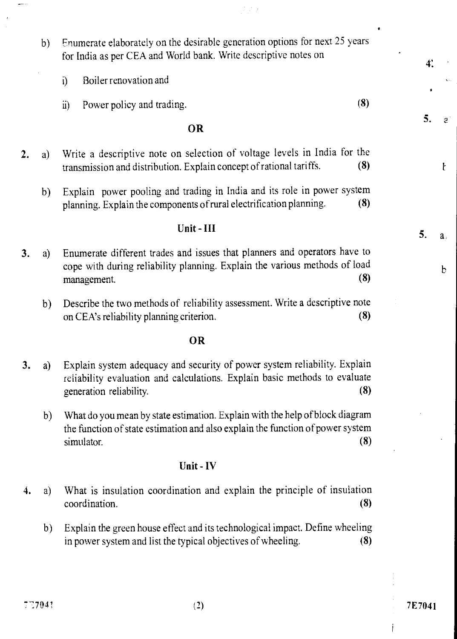b) Enumerate elaborately on the desirable generation options for next 25 years for India as per CEA and World bank. Write descriptive notes on

 $\mathcal{F} \rightarrow \mathcal{F}$ 

- i) Boiler renovation and
- ii) Power policy and trading. (8)

#### OR

- 2. a) Write a descriptive note on selection of voltage levels in India for the transmission and distribution. Explain concept of rational tariffs. (8)
	- b) Explain power pooling and trading in India and its role in power system planning. Explain the components of rural electrification planning. (8)

### Unit - III

- 3. a) Enumerate different trades and issues that planners and operators have to cope with during reliability planning. Explain the various methods of load Enumerate different trades and issues that planners and operators have to cope with during reliability planning. Explain the various methods of load management. (8)
	- b) Describe the two methods of reliability assessment. Write a descriptive note on CEA's reliability planning criterion. (8)

#### OR

- 3. a) Explain system adequacy and security of power system reliability. Explain reliability evaluation and calculations. Explain basic methods to evaluate generation reliability. (8)
	- b) What do you mean by state estimation. Explain with the help of block diagram the function of state estimation and also explain the function of power system What do you mean by state estimation. Explain with the help of block diagram<br>the function of state estimation and also explain the function of power system<br>simulator. (8)

#### Unit - IV

- 4. a) What is insulation coordination and explain the principle of insulation coordination. (8)
	- b) Explain the green house effect and its technological impact. Define wheeling in power system and list the typical objectives of wheeling. (8)

5.

 $\mathcal{L}$ 

 $\mathbf{t}$ 

 $a$ ,

b

 $4<sup>1</sup>$ 

5.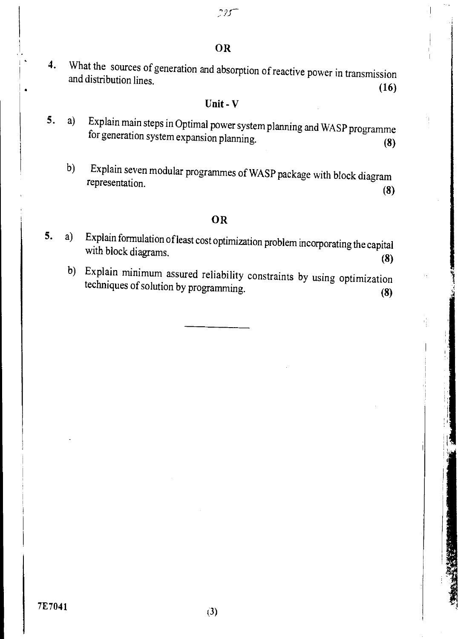4. What the sources of generation and absorption of reactive power in transmission and distribution lines. (16)

# Unit - V

- 5. a) Explain main steps in Optimal power system planning and WASP programme for generation system expansion planning. (8)
	- b) Explain seven modular programmes of WASP package with block diagram representation. (8)

## OR

- 5. a) Explain formulation of least cost optimization problem incorporating the capital with block diagrams. (8)
	- b) Explain minimum assured reliability constraints by using optimization techniques of solution by programming. (8)

Kanada Ka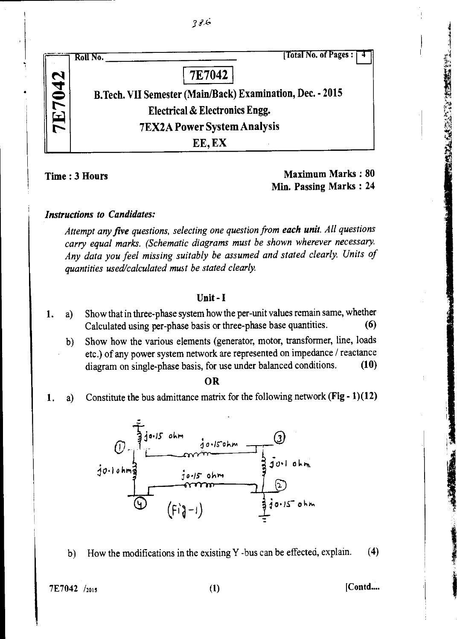| [Total No. of Pages:<br>Roll No.                          |
|-----------------------------------------------------------|
| 7E7042                                                    |
| B.Tech. VII Semester (Main/Back) Examination, Dec. - 2015 |
| <b>Electrical &amp; Electronics Engg.</b>                 |
| <b>7EX2A Power System Analysis</b>                        |
| EE, EX                                                    |

Time : 3 Hours Maximum Marks : 80 Min. Passing Marks : 24 #### *Instructions to Candidates:*

*Attempt any five questions, selecting one question from each unit. All questions carry equal marks. (Schematic diagrams must be shown wherever necessary. Any data you feel missing suitably be assumed and stated clearly. Units of quantities used/calculated must be stated clearly.* 

#### Unit - **I**

- **1.** a) Show that in three-phase system how the per-unit values remain same, whether Calculated using per-phase basis or three-phase base quantities. (6)
	- b) Show how the various elements (generator, motor, transformer, line, loads etc.) of any power system network are represented on impedance / reactance diagram on single-phase basis, for use under balanced conditions. (10)

#### OR

1. a) Constitute the bus admittance matrix for the following network (Fig - 1)(12)



b) How the modifications in the existing Y -bus can be effected, explain. **(4)** 

 $7E7042 /_{2015}$  [Contd....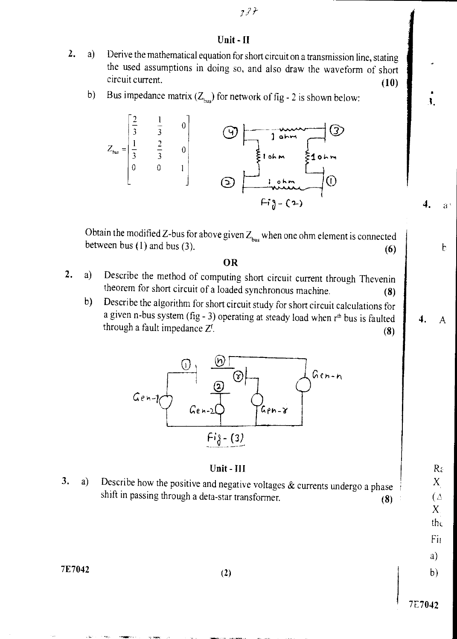## 7l\*

#### Unit - II

- 2. a) Derive the mathematical equation for short circuit on a transmission line, stating the used assumptions in doing so, and also draw the waveform of short  $\frac{circuit current.}{(10)}$ 
	- b) Bus impedance matrix  $(Z_{bus})$  for network of fig 2 is shown below:



Obtain the modified Z-bus for above given  $Z_{bus}$  when one ohm element is connected between bus (1) and bus (3).  $\qquad \qquad \text{(6)}$ 

#### OR

- 2. a) Describe the method of computing short circuit current through Thevenin theorem for short circuit of a loaded synchronous machine. (8)
	- b) Describe the algorithm for short circuit study for short circuit calculations for a given n-bus system (fig - 3) operating at steady load when  $r<sup>th</sup>$  bus is faulted through a fault impedance  $Z^f$ . (8)



#### Unit - Ill

3. a) Describe how the positive and negative voltages  $&$  currents undergo a phase shift in passing through a deta-star transformer. (8)

 $7E7042$  (2)

7E7042

 $X$ the

 $R_{\epsilon}$  $X_{1}$  $(\triangle$ 

Fit

a)

b)

4. A

 $\overline{4}$ .

 $\mathbf{d}$ .

 $\mathbf b$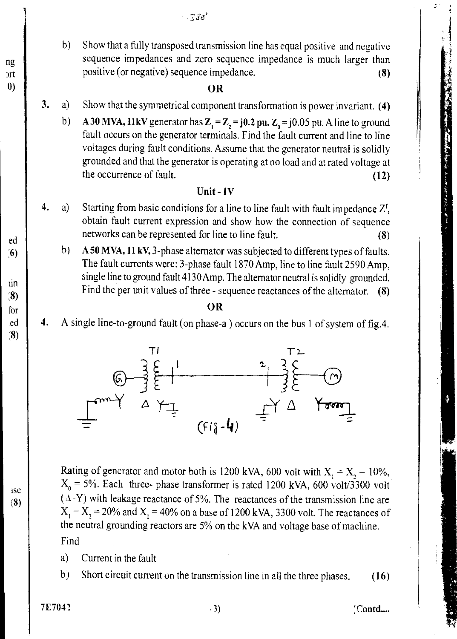*3a '* 

b) Show that a fully transposed transmission line has equal positive and negative sequence impedances and zero sequence impedance is much larger than positive (or negative) sequence impedance. (8) b) Show that a fully transposed transmission<br>sequence impedances and zero sequen<br>positive (or negative) sequence impedant<br>0)<br>3. a) Show that the symmetrical component tr

- 3. a) Show that the symmetrical component transformation is power invariant. (4)
	- b) A 30 MVA, 11kV generator has  $Z_1 = Z_2 = j0.2$  pu.  $Z_0 = j0.05$  pu. A line to ground fault occurs on the generator terminals. Find the fault current and line to line voltages during fault conditions. Assume that the generator neutral is solidly grounded and that the generator is operating at no load and at rated voltage at the occurrence of fault. (12)

#### Unit - IV

- 4. a) Starting from basic conditions for a line to line fault with fault impedance  $Z^f$ , obtain fault current expression and show how the connection of sequence ed networks can be represented for line to line fault. (8)<br>
(8) A 50 MVA, 11 kV, 3-phase alternator was subjected to different types of faults.
- $(6)$  b) A 50 MVA, 11 kV, 3-phase alternator was subjected to different types of faults. The fault currents were: 3-phase fault 1870 Amp, line to line fault 2590 Amp, single line to ground fault 4130 Amp. The alternator neutral is solidly grounded.<br>Find the per unit values of three - sequence reactances of the alternator. (8) Find the per unit values of three - sequence reactances of the alternator.

# for  $\parallel$  **OR**

ed 4. A single line-to-ground fault (on phase-a) occurs on the bus 1 of system of fig.4.



Rating of generator and motor both is 1200 kVA, 600 volt with  $X_1 = X_2 = 10\%$ ,  $X_0$  = 5%. Each three- phase transformer is rated 1200 kVA, 600 volt/3300 volt  $($   $\Delta$ -Y) with leakage reactance of 5%. The reactances of the transmission line are  $X_1 = X_2 = 20\%$  and  $X_0 = 40\%$  on a base of 1200 kVA, 3300 volt. The reactances of the neutral grounding reactors are 5% on the kVA and voltage base of machine. Find

- a) Current in the fault
- b) Short circuit current on the transmission line in all the three phases. (16)

 $7E7042$  [Contd....]

Ise (8)

;

ng prt

;8)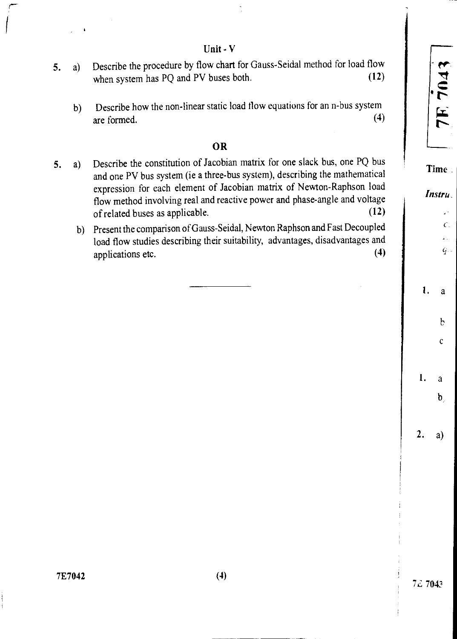Unit - V

- when system has PQ and PV buses both. (12) 5. a) Describe the procedure by flow chart for Gauss -Seidal method for load flow
	- (4) b) Describe how the non-linear static load flow equations for an n-bus system are formed.

## OR

- 5. a) Describe the constitution of Jacobian matrix for one slack bus, one PQ bus and one PV bus system (ie a three-bus system), describing the mathematical expression for each element of Jacobian matrix of Newton-Raphson load flow method involving real and reactive power and phase-angle and voltage of related buses as applicable. (12)
	- b) Present the comparison of Gauss-Seidal, Newton Raphson and Fast Decoupled load flow studies describing their suitability, advantages, disadvantages and Present the comparison of Gauss-Serian, Newton Ruphson and Tast Decoupled<br>load flow studies describing their suitability, advantages, disadvantages and<br>applications etc. (4)

Time:

*Instru* 

y.  $\mathcal{C}$ . έú,

b

c

a

 $\mathbf b$ 

1.

2. a)

1. a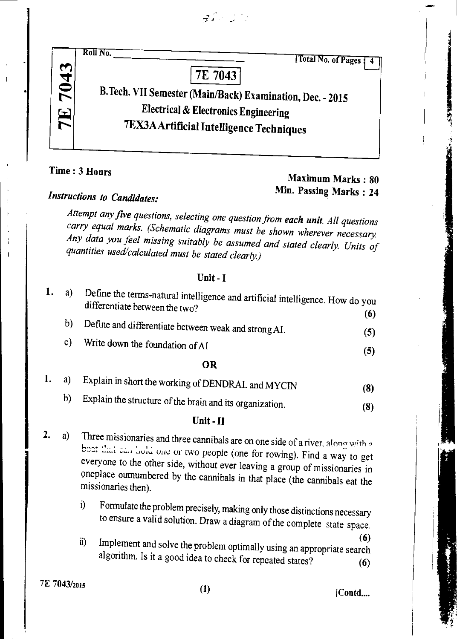$-75 - 300$ 



Time : 3 Hours

# *Maximum* Marks : 80 Min. Passing Marks : 24

# *Instructions to Candidates:*

*Attempt any five questions, selecting one question from each unit. All questions carry equal marks. (Schematic diagrams must be shown wherever necessary. Any data you feel missing suitably be assumed and stated clearly. Units of quantities used/calculated must be stated clearly)* 

#### Unit - I

| a) | Define the terms-natural intelligence and artificial intelligence. How do you<br>differentiate between the two? | (6) |
|----|-----------------------------------------------------------------------------------------------------------------|-----|
| b) | Define and differentiate between weak and strong AI.                                                            | (5) |
| C) | Write down the foundation of AI                                                                                 | (5) |
|    | OR                                                                                                              |     |

|  | a) Explain in short the working of DENDRAL and MYCIN                                                                                                                                                                                                   | (3) |
|--|--------------------------------------------------------------------------------------------------------------------------------------------------------------------------------------------------------------------------------------------------------|-----|
|  | $\mathbf{L} \mathbf{V} = \mathbf{E} \mathbf{E} \mathbf{I}$ , the set of the set of the set of the set of the set of the set of the set of the set of the set of the set of the set of the set of the set of the set of the set of the set of the set o |     |

b) Explain the structure of the brain and its organization. (8)

## Unit -II

- 2. a) Three missionaries and three cannibals are on one side of a river, along with a boat that can hold one or two people (one for rowing). Find a way to get everyone to the other side, without ever leaving a group of missionaries in oneplace outnumbered by the cannibals in that place (the cannibals eat the missionaries then).
	- i) Formulate the problem precisely, making only those distinctions necessary to ensure a valid solution. Draw a diagram of the complete state space.
	- ii) Implement and solve the problem optimally using an appropriate search algorithm. Is it a good idea to check for repeated states? (6)

 $7E$  7043/2015 (1) [Contd....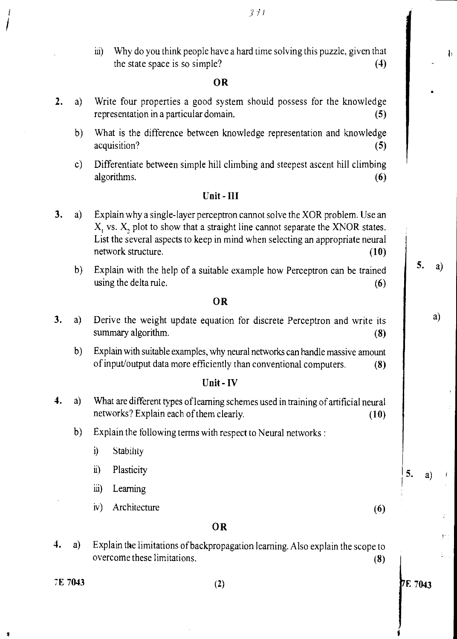hi) Why do you think people have a hard time solving this puzzle, given that the state space is so simple? **(4)** 

#### **OR**

- **2.** a) Write four properties a good system should possess for the knowledge representation in a particular domain. **(5)** 
	- b) What is the difference between knowledge representation and knowledge acquisition? **(5)**
	- c) Differentiate between simple hill climbing and steepest ascent hill climbing algorithms. **(6)**

#### **Unit - III**

- **3.** a) Explain why a single-layer perceptron cannot solve the XOR problem. Use an X, vs. X, plot to show that a straight line cannot separate the XNOR states. List the several aspects to keep in mind when selecting an appropriate neural network structure. **(10) (10)** 
	- b) Explain with the help of a suitable example how Perceptron can be trained using the delta rule. **(6) (6)**

#### **OR**

- **3.** a) Derive the weight update equation for discrete Perceptron and write its summary algorithm. **(8) (8)** 
	- b) Explain with suitable examples, why neural networks can handle massive amount of input/output data more efficiently than conventional computers. **(8)**

#### **Unit - IV**

- **4.** a) What are different types of learning schemes used in training of artificial neural networks? Explain each of them clearly. **(10)** 
	- b) Explain the following terms with respect to Neural networks :
		- i) Stability
		- $\ddot{u}$ **Plasticity**
		- iii) Learning
		- iv) Architecture (6)

#### **OR**

4. a) Explain the limitations of backpropagation learning. Also explain the scope to overcome these limitations. **(8)** 

 $371$ 

5.

a)

P.

5. a)

₿

a)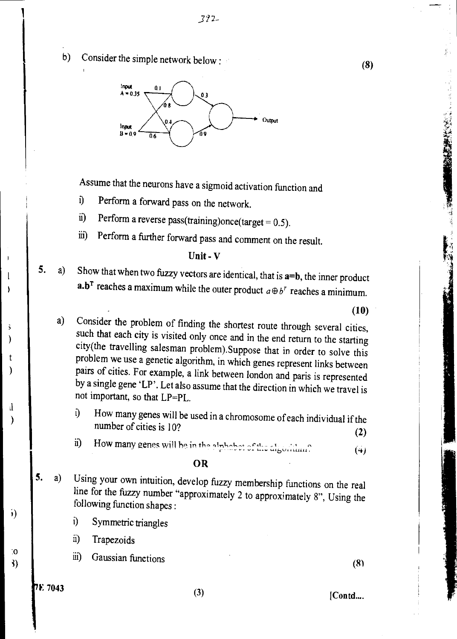b) Consider the simple network below :



Assume that the neurons have a sigmoid activation function and

- i) Perform a forward pass on the network.
- ii) Perform a reverse pass(training)once(target =  $0.5$ ).
- iii) Perform a further forward pass and comment on the result.

#### Unit - V

5. a) Show that when two fuzzy vectors are identical, that is  $a=b$ , the inner product a.b<sup>T</sup> reaches a maximum while the outer product  $a \oplus b^r$  reaches a minimum.

**(10)** 

- a) Consider the problem of finding the shortest route through several cities, such that each city is visited only once and in the end return to the starting city(the travelling salesman problem).Suppose that in order to solve this problem we use a genetic algorithm, in which genes represent links between pairs of cities. For example, a link between london and paris is represented by a single gene 'LP'. Let also assume that the direction in which we travel is not important, so that LP=PL.
	- 0 How many genes will be used in a chromosome of each individual if the number of cities is 10? **(2)**
	- ii) How many genes will be in the alphabet of the algorithm? **(4)**

#### **OR**

- 5. a) Using your own intuition, develop fuzzy membership functions on the real line for the fuzzy number "approximately 2 to approximately 8", Using the following function shapes :
	- i) Symmetric triangles
	- ii) Trapezoids
	- iii) Gaussian functions (8)

t

 $\lambda$ 

 $\ddot{\phantom{0}}$  $\lambda$ 

 $\overline{1}$ 

 $\mathbf{I}$ 1

Il

 $\mathcal{E}$ 

:0 i)

i)

(8)

No. of the American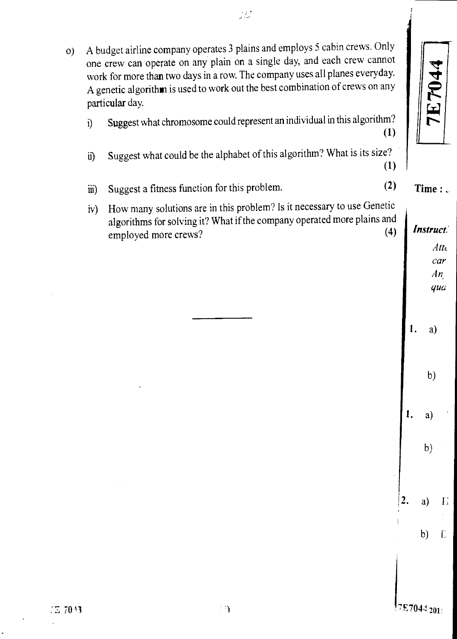$\overline{\Gamma}$ 

Time :  $\circ$ 

 $Atte$ *car An qua* 

a)

b)

 $a)$ 

 $b)$ 

a)

b)

 $\mathbf{E}$ 

 $\Gamma$ 

 $\mathbf{I}$ .

 $\overline{2}$ .

o) A budget airline company operates 3 plains and employs 5 cabin crews. Only one crew can operate on any plain on a single day, and each crew cannot work for more than two days in a row. The company uses all planes everyday. A genetic algorithm is used to work out the best combination of crews on any particular day. i) Suggest what chromosome could represent an individual in this algorithm? (1) ii) Suggest what could be the alphabet of this algorithm? What is its size? (1) iii) Suggest a fitness function for this problem. (2) iv) How many solutions are in this problem? Is it necessary to use Genetic algorithms for solving it? What if the company operated more plains and<br>employed more crews? *Instruct.*  employed more crews?  $\mathbf{I}$ .

و د د.<br>ساد م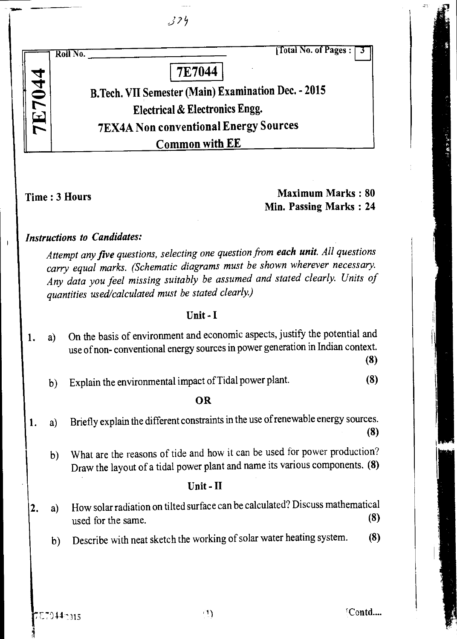|               |                | 324                                                                                                                                                                                                                                                                                               |  |
|---------------|----------------|---------------------------------------------------------------------------------------------------------------------------------------------------------------------------------------------------------------------------------------------------------------------------------------------------|--|
|               |                | <b>Total No. of Pages:</b><br>Roll No.                                                                                                                                                                                                                                                            |  |
|               |                | <b>7E7044</b>                                                                                                                                                                                                                                                                                     |  |
| <b>7E7044</b> |                | B.Tech. VII Semester (Main) Examination Dec. - 2015                                                                                                                                                                                                                                               |  |
|               |                | <b>Electrical &amp; Electronics Engg.</b>                                                                                                                                                                                                                                                         |  |
|               |                | <b>7EX4A Non conventional Energy Sources</b>                                                                                                                                                                                                                                                      |  |
|               |                | Common with EE                                                                                                                                                                                                                                                                                    |  |
|               |                | <b>Maximum Marks: 80</b><br>Time: 3 Hours<br>Min. Passing Marks: 24                                                                                                                                                                                                                               |  |
|               |                | <b>Instructions to Candidates:</b>                                                                                                                                                                                                                                                                |  |
|               |                | Attempt any five questions, selecting one question from each unit. All questions<br>carry equal marks. (Schematic diagrams must be shown wherever necessary.<br>Any data you feel missing suitably be assumed and stated clearly. Units of<br>quantities used/calculated must be stated clearly.) |  |
|               |                | Unit-I                                                                                                                                                                                                                                                                                            |  |
|               | a)             | On the basis of environment and economic aspects, justify the potential and<br>use of non-conventional energy sources in power generation in Indian context.<br>(8)                                                                                                                               |  |
|               | $\mathfrak{b}$ | (8)<br>Explain the environmental impact of Tidal power plant.                                                                                                                                                                                                                                     |  |
|               |                | <b>OR</b>                                                                                                                                                                                                                                                                                         |  |
| 1.            | a)             | Briefly explain the different constraints in the use of renewable energy sources.<br>(8)                                                                                                                                                                                                          |  |
|               | b)             | What are the reasons of tide and how it can be used for power production?<br>Draw the layout of a tidal power plant and name its various components. (8)                                                                                                                                          |  |
|               |                | Unit - II                                                                                                                                                                                                                                                                                         |  |
| 2.            | a)             | How solar radiation on tilted surface can be calculated? Discuss mathematical<br>(8)<br>used for the same.                                                                                                                                                                                        |  |
|               | $\mathfrak{b}$ | (8)<br>Describe with neat sketch the working of solar water heating system.                                                                                                                                                                                                                       |  |
|               |                |                                                                                                                                                                                                                                                                                                   |  |

 $\begin{array}{c} \begin{array}{c} \end{array} \end{array}$ 

17 医甲基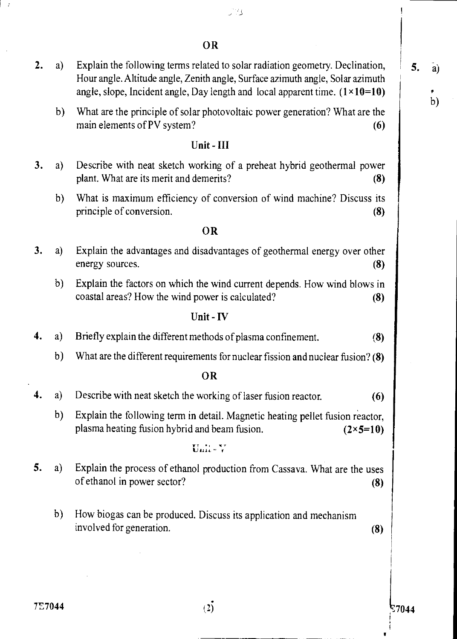OR

- **2.** a) Explain the following terms related to solar radiation geometry. Declination, Hour angle. Altitude angle, Zenith angle, Surface azimuth angle, Solar azimuth angle, slope, Incident angle, Day length and local apparent time.  $(1 \times 10=10)$ 
	- b) What are the principle of solar photovoltaic power generation? What are the main elements of PV system? **(6) (6)**

## **Unit - III**

- **3.** a) Describe with neat sketch working of a preheat hybrid geothermal power plant. What are its merit and demerits? **(8)** 
	- b) What is maximum efficiency of conversion of wind machine? Discuss its principle of conversion. **(8) (8)**

#### **OR**

- **3.** a) Explain the advantages and disadvantages of geothermal energy over other energy sources. **(8)** 
	- b) Explain the factors on which the wind current depends. How wind blows in coastal areas? How the wind power is calculated? **(8)**

#### **Unit -** IV

- **4.** a) Briefly explain the different methods of plasma confinement. **(8)** 
	- b) What are the different requirements for nuclear fission and nuclear fusion? **(8)**

#### **OR**

- 4. a) Describe with neat sketch the working of laser fusion reactor. **(6)** 
	- b) Explain the following term in detail. Magnetic heating pellet fusion reactor, plasma heating fusion hybrid and beam fusion. **(2x5=10)**

### $U$ m  $-V$

- 5. a) Explain the process of ethanol production from Cassava. What are the uses of ethanol in power sector? **(8)** 
	- b) How biogas can be produced. Discuss its application and mechanism involved for generation. **(8)**

 $\mathcal{I}$ 

b)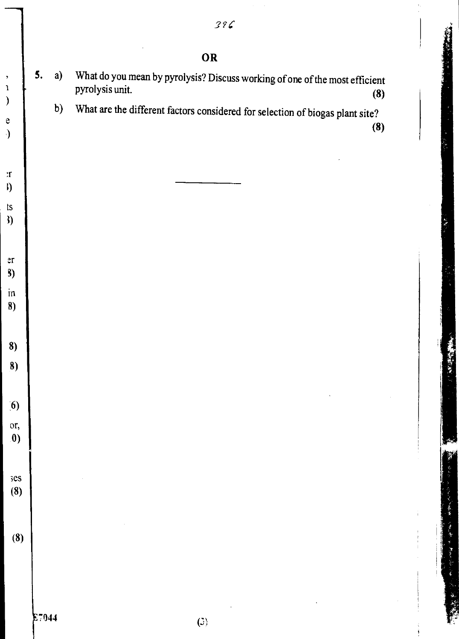|                      |       |    | OR                                                                                                    |
|----------------------|-------|----|-------------------------------------------------------------------------------------------------------|
| $\,$<br>$\mathbf 1$  | 5.    | a) | What do you mean by pyrolysis? Discuss working of one of the most efficient<br>pyrolysis unit.<br>(8) |
| $\big)$<br>${\bf e}$ |       | b) | What are the different factors considered for selection of biogas plant site?<br>(8)                  |
| $\mathcal{E}$        |       |    |                                                                                                       |
| $\cdot$ r            |       |    |                                                                                                       |
| $\mathfrak{h}$<br>ts |       |    |                                                                                                       |
| 3)                   |       |    |                                                                                                       |
| er                   |       |    |                                                                                                       |
| <b>B</b> )<br>in     |       |    |                                                                                                       |
| 8)                   |       |    |                                                                                                       |
| 8)                   |       |    |                                                                                                       |
| $\left( 8\right)$    |       |    |                                                                                                       |
| $\left( 6\right)$    |       |    | $\bar{z}$                                                                                             |
| or,                  |       |    |                                                                                                       |
| $\boldsymbol{0}$     |       |    |                                                                                                       |
| $s$ es               |       |    |                                                                                                       |
| (8)                  |       |    |                                                                                                       |
| (8)                  |       |    |                                                                                                       |
|                      |       |    |                                                                                                       |
|                      |       |    |                                                                                                       |
|                      | E7044 |    | $\left($ c $\right)$                                                                                  |

 $\frac{1}{\sqrt{2}}$ 

**TRACK** 

一、大きさん

一名もの かんおき 星参帯 一番

سمبر<br>تخا

**Contract Contract**  $\frac{1}{2}$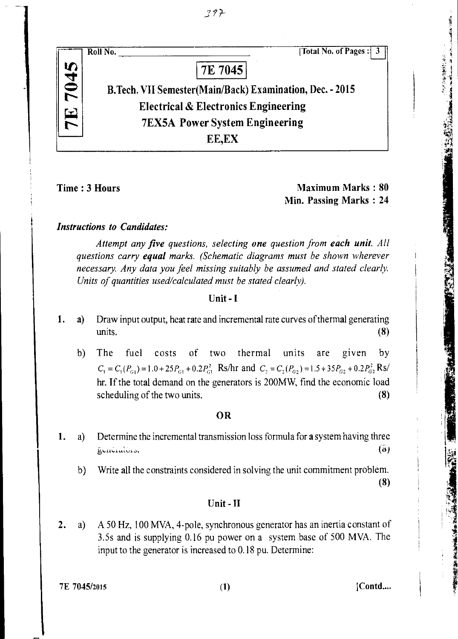

Time : 3 Hours Maximum Marks : 80 Min. Passing Marks : 24 **CARL REVENUE** 

一切を におかるのですが

## *Instructions to Candidates:*

*Attempt any five questions, selecting one question from each unit. All questions carry equal marks. (Schematic diagrams must be shown wherever necessary. Any data you feel missing suitably be assumed and stated clearly. Units of quantities used/calculated must be stated clearly).* 

#### Unit - **I**

- 1. a) Draw input output, heat rate and incremental rate curves of thermal generating  $units.$  (8)
	- b) The fuel costs of two thermal units are given by  $C_1 = C_1(P_{G1}) = 1.0 + 25P_{G1} + 0.2P_{G1}^2$  Rs/hr and  $C_2 = C_2(P_{G2}) = 1.5 + 35P_{G2} + 0.2P_{G2}^2$  Rs/ hr. If the total demand on the generators is 200MW, find the economic load scheduling of the two units. (8)

### **OR**

- 1. a) Determine the incremental transmission loss formula for a system having three generators.  $(5)$ 
	- b) Write all the constraints considered in solving the unit commitment problem. (8)

#### Unit - II

2. a) A 50 Hz, 100 MVA, 4-pole, synchronous generator has an inertia constant of 3.5s and is supplying 0.16 pu power on a system base of 500 MVA. The input to the generator is increased to 0.18 pu. Determine:

7E 7045/2015 (1) [Contd....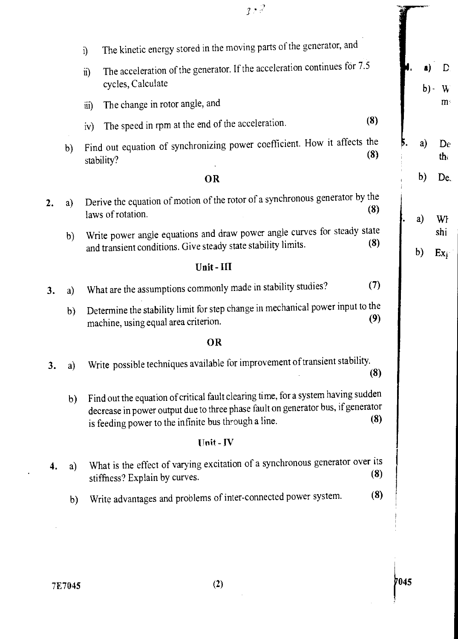|    |    |              | 3.77                                                                                                                                                                                                                          |     |        |                        |
|----|----|--------------|-------------------------------------------------------------------------------------------------------------------------------------------------------------------------------------------------------------------------------|-----|--------|------------------------|
|    |    | $\mathbf{i}$ | The kinetic energy stored in the moving parts of the generator, and                                                                                                                                                           |     |        |                        |
|    |    | $\ddot{u}$   | The acceleration of the generator. If the acceleration continues for 7.5<br>cycles, Calculate                                                                                                                                 |     | $b)$ - |                        |
|    |    | iii)         | The change in rotor angle, and                                                                                                                                                                                                |     |        | m                      |
|    |    | iv)          | The speed in rpm at the end of the acceleration.                                                                                                                                                                              | (8) |        |                        |
|    | b) |              | Find out equation of synchronizing power coefficient. How it affects the<br>stability?                                                                                                                                        | (8) | a)     | De<br>th $\frac{1}{2}$ |
|    |    |              | OR                                                                                                                                                                                                                            |     | b)     | De <sub>1</sub>        |
| 2. | a) |              | Derive the equation of motion of the rotor of a synchronous generator by the<br>laws of rotation.                                                                                                                             | (8) | a)     | Wł                     |
|    | b) |              | Write power angle equations and draw power angle curves for steady state<br>and transient conditions. Give steady state stability limits.                                                                                     | (8) | b)     | shi<br>$Ex_{\hat{i}}$  |
|    |    |              | Unit-III                                                                                                                                                                                                                      |     |        |                        |
| 3. | a) |              | What are the assumptions commonly made in stability studies?                                                                                                                                                                  | (7) |        |                        |
|    | b) |              | Determine the stability limit for step change in mechanical power input to the<br>machine, using equal area criterion.                                                                                                        | (9) |        |                        |
|    |    |              | OR                                                                                                                                                                                                                            |     |        |                        |
| 3. | a) |              | Write possible techniques available for improvement of transient stability.                                                                                                                                                   | (3) |        |                        |
|    | b) |              | Find out the equation of critical fault clearing time, for a system having sudden<br>decrease in power output due to three phase fault on generator bus, if generator<br>is feeding power to the infinite bus through a line. | (3) |        |                        |
|    |    |              | Unit-IV                                                                                                                                                                                                                       |     |        |                        |
|    | a) |              | What is the effect of varying excitation of a synchronous generator over its<br>stiffness? Explain by curves.                                                                                                                 | (8) |        |                        |
|    | b) |              | Write advantages and problems of inter-connected power system.                                                                                                                                                                | (8) |        |                        |

 $\ddot{\phantom{1}}$ 

 $\frac{1}{\sqrt{2}}$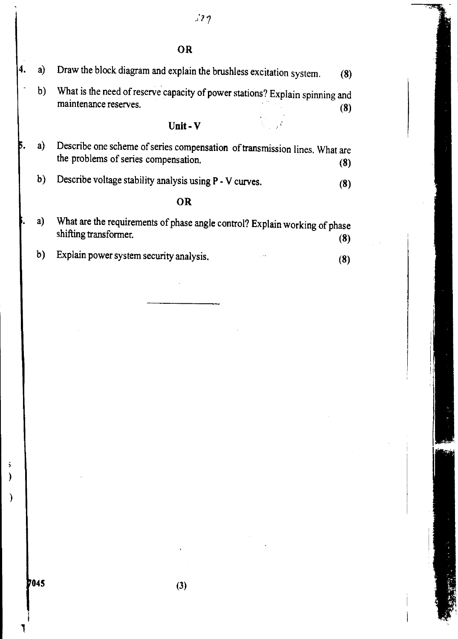$129$ 

OR

| a) | Draw the block diagram and explain the brushless excitation system. | (8)                                                                                                                                                                                                                                      |
|----|---------------------------------------------------------------------|------------------------------------------------------------------------------------------------------------------------------------------------------------------------------------------------------------------------------------------|
| b) | maintenance reserves.                                               | (8)                                                                                                                                                                                                                                      |
|    | Unit - V                                                            |                                                                                                                                                                                                                                          |
| a) | the problems of series compensation.                                | (8)                                                                                                                                                                                                                                      |
| b) | Describe voltage stability analysis using P - V curves.             | (8)                                                                                                                                                                                                                                      |
|    | <b>OR</b>                                                           |                                                                                                                                                                                                                                          |
| a) | shifting transformer.                                               | (8)                                                                                                                                                                                                                                      |
| b) | Explain power system security analysis.                             | (8)                                                                                                                                                                                                                                      |
|    |                                                                     |                                                                                                                                                                                                                                          |
|    |                                                                     |                                                                                                                                                                                                                                          |
|    |                                                                     |                                                                                                                                                                                                                                          |
|    |                                                                     |                                                                                                                                                                                                                                          |
|    |                                                                     |                                                                                                                                                                                                                                          |
|    |                                                                     |                                                                                                                                                                                                                                          |
|    |                                                                     |                                                                                                                                                                                                                                          |
|    |                                                                     |                                                                                                                                                                                                                                          |
|    |                                                                     |                                                                                                                                                                                                                                          |
|    |                                                                     |                                                                                                                                                                                                                                          |
|    |                                                                     |                                                                                                                                                                                                                                          |
|    |                                                                     |                                                                                                                                                                                                                                          |
|    |                                                                     |                                                                                                                                                                                                                                          |
|    |                                                                     |                                                                                                                                                                                                                                          |
|    | <b>Contractor</b>                                                   |                                                                                                                                                                                                                                          |
|    |                                                                     |                                                                                                                                                                                                                                          |
|    |                                                                     | What is the need of reserve capacity of power stations? Explain spinning and<br>Describe one scheme of series compensation of transmission lines. What are<br>What are the requirements of phase angle control? Explain working of phase |

**045** (3)

 $\frac{3}{2}$ 

 $\big)$ 

Ţ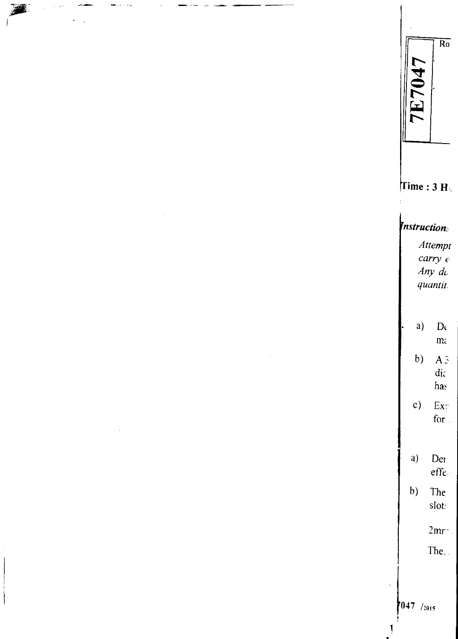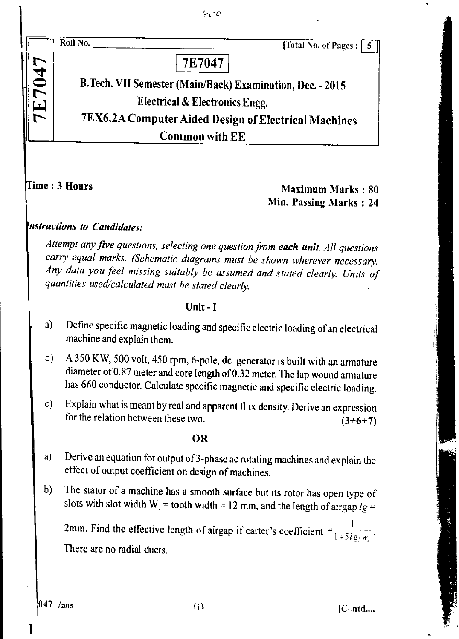$\frac{1}{2}$  of  $\mathcal{O}$ 

 $\Rightarrow$  $\sum_{i=1}^n$ 

**N** 

Roll No. <u>Contract the Contract of Total No.</u> of Pages : 5

7E7047

B.Tech. VII Semester (Main/Back) Examination, Dec. - 2015 Electrical & Electronics Engg. 7EX6.2 A Computer Aided Design of Electrical Machines Common with EE

*i* Ime : 3 Hours Maximum Marks : 80 Min. Passing Marks : 24

## *nstructions to Candidates:*

*Attempt any five questions, selecting one question from each unit. All questions carry equal marks. (Schematic diagrams must be shown wherever necessary. Any data you feel missing suitably be assumed and stated clearly. Units of quantities used/calculated must be stated clearly.* 

## Unit - **I**

- a) Define specific magnetic loading and specific electric loading of an electrical machine and explain them.
- b) A 350 KW, 500 volt, 450 rpm, 6-pole, dc generator is built with an armature diameter of 0.87 meter and core length of 0.32 meter. The lap wound armature has 660 conductor. Calculate specific magnetic and specific electric loading.
- c) Explain what is meant by real and apparent flux density. Derive an expression for the relation between these two.  $(3+6+7)$

### **OR**

- a) Derive an equation for output of 3-phase ac rotating machines and explain the effect of output coefficient on design of machines.
- b) The stator of a machine has a smooth surface but its rotor has open type of slots with slot width W<sub>s</sub> = tooth width = 12 mm, and the length of airgap  $lg =$

2mm. Find the effective length of airgap if carter's coefficient  $=\frac{1}{1+5lg/w}$ . There are no radial ducts.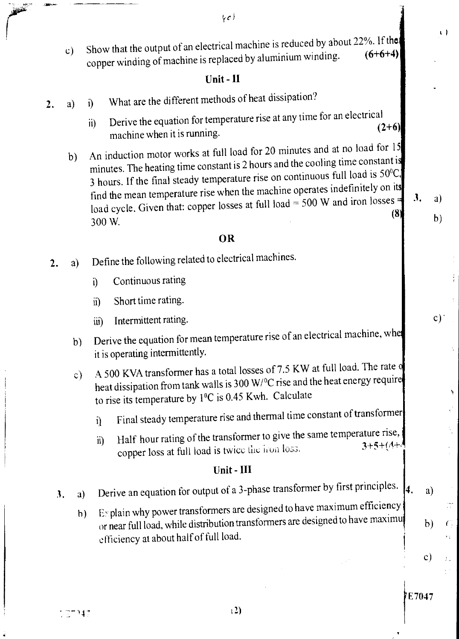$\mathcal{U}$ 

c) Show that the output of an electrical machine is reduced by about 22%. If the context of the strategy of  $(6+6+4)$ copper winding of machine is replaced by aluminium winding.

## Unit - II

- 2. a) i) What are the different methods of heat dissipation?
	- ii) Derive the equation for temperature rise at any time for an electrical  $(2+6)$ machine when it is running.
	- b) An induction motor works at full load for 20 minutes and at no load for 15 minutes. The heating time constant is 2 hours and the cooling time constant is 3 hours. If the final steady temperature rise on continuous full load is  $50^{\circ}$ C, find the mean temperature rise when the machine operates indefinitely on its load cycle. Given that: copper losses at full load = 500 W and iron losses  $=$  3. a) 300 W. (8

 $\mathbf{J}_{\bullet}$ 

7E7047

b)

 $c)$ 

÷.

¥

IN.

 $\epsilon$ 

片

 $b)$ 

 $\mathbf{c})$ 

 $\left\{ \cdot \right\}$ 

## OR

- 2. a) Define the following related to electrical machines.
	- i) Continuous rating
	- ii) Short time rating.
	- iii) Intermittent rating.
	- b) Derive the equation for mean temperature rise of an electrical machine, whe it is operating intermittently.
	- c) A 500 KVA transformer has a total losses of 7.5 KW at full load. The rate of heat dissipation from tank walls is 300 W/<sup>o</sup>C rise and the heat energy require to rise its temperature by 1°C is 0.45 Kwh. Calculate
		- i) Final steady temperature rise and thermal time constant of transformer
		- ii) Half hour rating of the transformer to give the same temperature rise, copper loss at full load is twice the fron loss.

## Unit - III

- 3. a) Derive an equation for output of a 3-phase transformer by first principles.  $\begin{bmatrix} 4. & a \end{bmatrix}$ 
	- h) E- plain why power transformers are designed to have maximum efficiency or near full load, while distribution transformers are designed to have maximu efficiency at about half of full load.

7347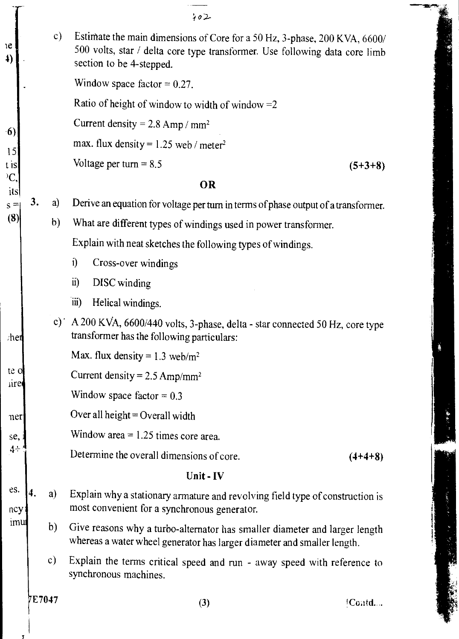|           | 402                                                                                                                                                                                  |              |    |
|-----------|--------------------------------------------------------------------------------------------------------------------------------------------------------------------------------------|--------------|----|
|           | Estimate the main dimensions of Core for a 50 Hz, 3-phase, 200 KVA, 6600/<br>500 volts, star / delta core type transformer. Use following data core limb<br>section to be 4-stepped. | c)           |    |
|           | Window space factor = $0.27$ .                                                                                                                                                       |              |    |
|           | Ratio of height of window to width of window $=2$                                                                                                                                    |              |    |
|           | Current density = $2.8$ Amp / mm <sup>2</sup>                                                                                                                                        |              |    |
|           | max. flux density = $1.25$ web / meter <sup>2</sup>                                                                                                                                  |              |    |
| $(5+3+8)$ | Voltage per turn $= 8.5$                                                                                                                                                             |              |    |
|           | OR                                                                                                                                                                                   |              |    |
|           | Derive an equation for voltage per turn in terms of phase output of a transformer.                                                                                                   | a)           | 3. |
|           | What are different types of windings used in power transformer.                                                                                                                      | $\mathbf{b}$ |    |
|           | Explain with neat sketches the following types of windings.                                                                                                                          |              |    |
|           | $\mathbf{i}$<br>Cross-over windings                                                                                                                                                  |              |    |
|           | $\ddot{\mathbf{n}}$<br>DISC winding                                                                                                                                                  |              |    |
|           | $\dddot{\mathbf{u}}$<br>Helical windings.                                                                                                                                            |              |    |
|           | c) A 200 KVA, 6600/440 volts, 3-phase, delta - star connected 50 Hz, core type<br>transformer has the following particulars:                                                         |              |    |
|           | Max. flux density = $1.3$ web/m <sup>2</sup>                                                                                                                                         |              |    |
|           | Current density = $2.5 \text{ Amp/mm}^2$                                                                                                                                             |              |    |
|           | Window space factor = $0.3$                                                                                                                                                          |              |    |
|           | Over all height = Overall width                                                                                                                                                      |              |    |
|           | Window area $= 1.25$ times core area.                                                                                                                                                |              |    |
| $(4+4+8)$ | Determine the overall dimensions of core.                                                                                                                                            |              |    |
|           | Unit - IV                                                                                                                                                                            |              |    |
|           | Explain why a stationary armature and revolving field type of construction is<br>most convenient for a synchronous generator.                                                        | a)           | 4. |
|           | Give reasons why a turbo-alternator has smaller diameter and larger length<br>whereas a water wheel generator has larger diameter and smaller length.                                | $\mathbf{b}$ |    |
|           | Explain the terms critical speed and run - away speed with reference to<br>synchronous machines.                                                                                     | c)           |    |
|           |                                                                                                                                                                                      |              |    |

2010年後の大学

÷.

(484)

١.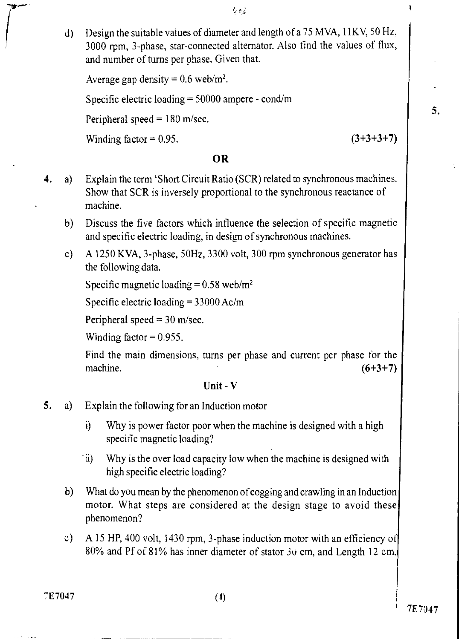- 与きる
- d) Design the suitable values of diameter and length of a 75 MVA, lIKV, 50 Hz, 3000 rpm, 3-phase, star-connected alternator. Also find the values of flux, and number of turns per phase. Given that.

```
Average gap density = 0.6 web/m<sup>2</sup>.
Specific electric loading = 50000 ampere - cond/m
Peripheral speed = 180 m/sec.
Winding factor = 0.95. (3+3+3+7)
```
## OR

- 4. a) Explain the term 'Short Circuit Ratio (SCR) related to synchronous machines. Show that SCR is inversely proportional to the synchronous reactance of machine.
	- b) Discuss the five factors which influence the selection of specific magnetic and specific electric loading, in design of synchronous machines.
	- c) A 1250 KVA, 3-phase, 50Hz, 3300 volt, 300 rpm synchronous generator has the following data.

Specific magnetic loading  $= 0.58$  web/m<sup>2</sup>

Specific electric loading  $= 33000$  Ac/m

Peripheral speed  $= 30$  m/sec.

Winding factor  $= 0.955$ .

Find the main dimensions, turns per phase and current per phase for the machine.  $(6+3+7)$ 

## Unit - V

- 5. a) Explain the following for an Induction motor
	- i) Why is power factor poor when the machine is designed with a high specific magnetic loading?
	- ii) Why is the over load capacity low when the machine is designed with high specific electric loading?
	- b) What do you mean by the phenomenon of cogging and crawling in an Induction motor. What steps are considered at the design stage to avoid these phenomenon?
	- c) A 15 HP, 400 volt, 1430 rpm, 3-phase induction motor with an efficiency of 80% and Pf of 81% has inner diameter of stator 3u cm, and Length 12 cm.

 $7E7047$  (4)

Ţ

5.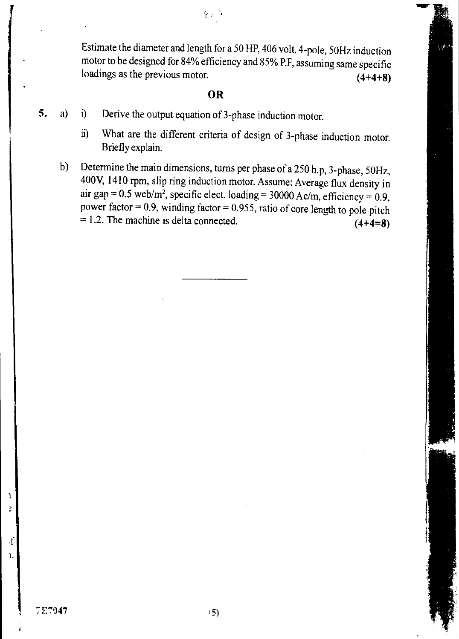Estimate the diameter and length for a 50 HP, 406 volt, 4-pole, 50Hz induction motor to be designed for 84% efficiency and 85% P.F, assuming same specific loadings as the previous motor. **(4+4+8) (4+4+8)** 

## **OR**

をいう

- **5.** a) i) Derive the output equation of 3-phase induction motor.
	- ii) What are the different criteria of design of 3-phase induction motor. Briefly explain.
	- b) Determine the main dimensions, turns per phase of a 250 h.p, 3-phase, 50Hz, 400V, 1410 rpm, slip ring induction motor. Assume: Average flux density in air gap =  $0.5$  web/m<sup>2</sup>, specific elect. loading =  $30000$  Ac/m, efficiency =  $0.9$ , power factor =  $0.9$ , winding factor =  $0.955$ , ratio of core length to pole pitch  $= 1.2$ . The machine is delta connected.  $(4+4=8)$

1.

 $\cdot$ f

1  $\ddot{z}$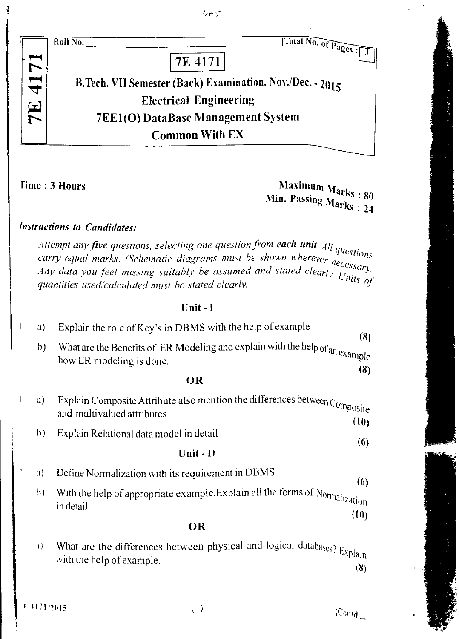$4.5$ 

Roll No.



B.Tech. VII Semester (Back) Examination, Nov./Dec. - 2015 **Electrical Engineering** 7EE1(0) DataBase Management System Common With EX

Time : 3 Hours Maximum Marks : 80 Min. Passing Marks : 24

[Total No. of Pages:

# Instructions to Candidates:

*Attempt any* five *questions, selecting one question from* each unit. *All questions Attempt any jive questions, selecting one questions*<br>carry equal marks. (Schematic diagrams must be shown wherever necessary. *Carry equal marks.* (Schemand angles) and stated clearly *Cossary*.<br>Any data you feel missing suitably be assumed and stated clearly Units of quantities used/calculated must be stated clearly.

## Unit - I

| $\mathbf{I}$ .        | a)             | Explain the role of Key's in DBMS with the help of example                                                                  |
|-----------------------|----------------|-----------------------------------------------------------------------------------------------------------------------------|
|                       | b)             | (8)<br>What are the Benefits of ER Modeling and explain with the help of an example<br>how ER modeling is done.<br>(8)      |
|                       |                | OR                                                                                                                          |
| $\mathbf{I}_{\infty}$ | a)             | Explain Composite Attribute also mention the differences between $\mathbf{Composite}$<br>and multivalued attributes<br>(10) |
|                       | $\mathfrak{b}$ | Explain Relational data model in detail<br>(6)                                                                              |
|                       |                | Unit - 11                                                                                                                   |
| $\mathcal{A}$         | a)             | Define Normalization with its requirement in DBMS<br>(6)                                                                    |
|                       | $\mathbf{b}$   | With the help of appropriate example. Explain all the forms of Normalization<br>in detail<br>(10)                           |
|                       |                | OR                                                                                                                          |
|                       | 44             | What are the differences between physical and logical databases? Explain<br>with the help of example.<br>(8)                |

 $\sqrt{2}$ 

 $\langle \text{Confd}_{\text{out}} \rangle$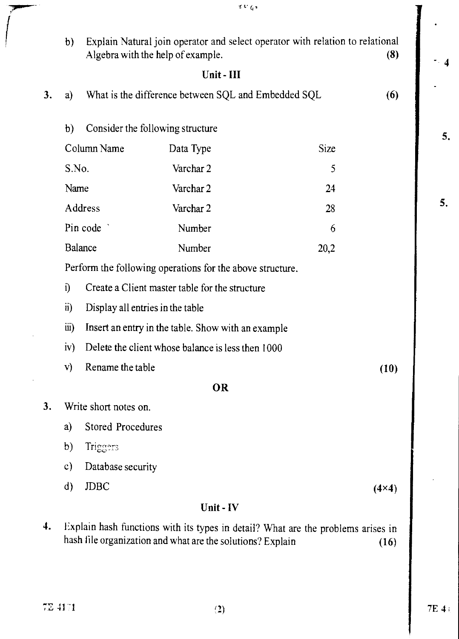| b)                  |             |                                                                       |                                                                                                                                                                                                         | (8)                                                                                                                                                                                                                                                                                                                                                            |
|---------------------|-------------|-----------------------------------------------------------------------|---------------------------------------------------------------------------------------------------------------------------------------------------------------------------------------------------------|----------------------------------------------------------------------------------------------------------------------------------------------------------------------------------------------------------------------------------------------------------------------------------------------------------------------------------------------------------------|
|                     |             | Unit - III                                                            |                                                                                                                                                                                                         |                                                                                                                                                                                                                                                                                                                                                                |
| a)                  |             |                                                                       |                                                                                                                                                                                                         | (6)                                                                                                                                                                                                                                                                                                                                                            |
| b)                  |             |                                                                       |                                                                                                                                                                                                         |                                                                                                                                                                                                                                                                                                                                                                |
|                     |             | Data Type                                                             | Size                                                                                                                                                                                                    |                                                                                                                                                                                                                                                                                                                                                                |
|                     |             | Varchar 2                                                             | 5                                                                                                                                                                                                       |                                                                                                                                                                                                                                                                                                                                                                |
|                     |             | Varchar 2                                                             | 24                                                                                                                                                                                                      |                                                                                                                                                                                                                                                                                                                                                                |
|                     |             | Varchar 2                                                             | 28                                                                                                                                                                                                      |                                                                                                                                                                                                                                                                                                                                                                |
|                     |             | Number                                                                | 6                                                                                                                                                                                                       |                                                                                                                                                                                                                                                                                                                                                                |
|                     |             | Number                                                                | 20,2                                                                                                                                                                                                    |                                                                                                                                                                                                                                                                                                                                                                |
|                     |             |                                                                       |                                                                                                                                                                                                         |                                                                                                                                                                                                                                                                                                                                                                |
| $\ddot{\mathbf{i}}$ |             |                                                                       |                                                                                                                                                                                                         |                                                                                                                                                                                                                                                                                                                                                                |
| ii)                 |             |                                                                       |                                                                                                                                                                                                         |                                                                                                                                                                                                                                                                                                                                                                |
| iii)                |             |                                                                       |                                                                                                                                                                                                         |                                                                                                                                                                                                                                                                                                                                                                |
| iv)                 |             |                                                                       |                                                                                                                                                                                                         |                                                                                                                                                                                                                                                                                                                                                                |
| V)                  |             |                                                                       |                                                                                                                                                                                                         | (10)                                                                                                                                                                                                                                                                                                                                                           |
|                     |             | <b>OR</b>                                                             |                                                                                                                                                                                                         |                                                                                                                                                                                                                                                                                                                                                                |
|                     |             |                                                                       |                                                                                                                                                                                                         |                                                                                                                                                                                                                                                                                                                                                                |
| a)                  |             |                                                                       |                                                                                                                                                                                                         |                                                                                                                                                                                                                                                                                                                                                                |
| b)                  | Triggers    |                                                                       |                                                                                                                                                                                                         |                                                                                                                                                                                                                                                                                                                                                                |
| $\mathbf{c})$       |             |                                                                       |                                                                                                                                                                                                         |                                                                                                                                                                                                                                                                                                                                                                |
| $\mathbf d$         | <b>JDBC</b> |                                                                       |                                                                                                                                                                                                         | $(4\times4)$                                                                                                                                                                                                                                                                                                                                                   |
|                     |             | Unit - IV                                                             |                                                                                                                                                                                                         |                                                                                                                                                                                                                                                                                                                                                                |
|                     |             | Column Name<br>S.No.<br>Name<br>Address<br>Pin code<br><b>Balance</b> | Algebra with the help of example.<br>Consider the following structure<br>Display all entries in the table<br>Rename the table<br>Write short notes on.<br><b>Stored Procedures</b><br>Database security | Explain Natural join operator and select operator with relation to relational<br>What is the difference between SQL and Embedded SQL<br>Perform the following operations for the above structure.<br>Create a Client master table for the structure<br>Insert an entry in the table. Show with an example<br>Delete the client whose balance is less then 1000 |

 $t$ t'  $\zeta$  ,

4. Explain hash functions with its types in detail? What are the problems arises in hash file organization and what are the solutions? Explain (16)

5.

5.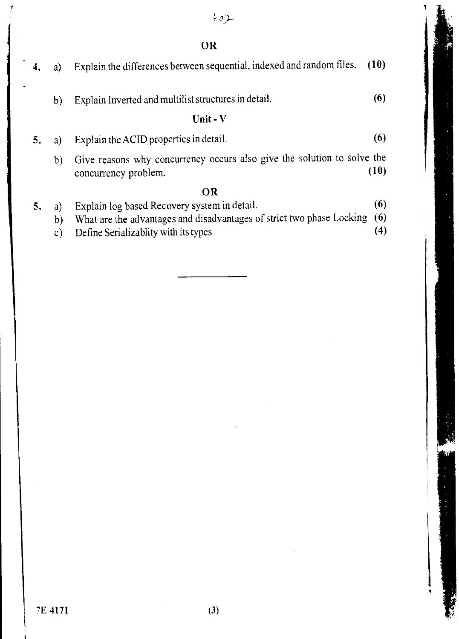$402 -$ 

OR

|    | a)                        | Explain the differences between sequential, indexed and random files.                                                                                         | (10)              |
|----|---------------------------|---------------------------------------------------------------------------------------------------------------------------------------------------------------|-------------------|
|    | b)                        | Explain Inverted and multilist structures in detail.<br>Unit - V                                                                                              | (6)               |
|    |                           |                                                                                                                                                               |                   |
|    | a)                        | Explain the ACID properties in detail.                                                                                                                        | (6)               |
|    | b)                        | Give reasons why concurrency occurs also give the solution to solve the<br>concurrency problem.                                                               | (10)              |
|    |                           | OR                                                                                                                                                            |                   |
| 5. | a)<br>b)<br>$\mathsf{c})$ | Explain log based Recovery system in detail.<br>What are the advantages and disadvantages of strict two phase Locking<br>Define Serializablity with its types | (6)<br>(6)<br>(4) |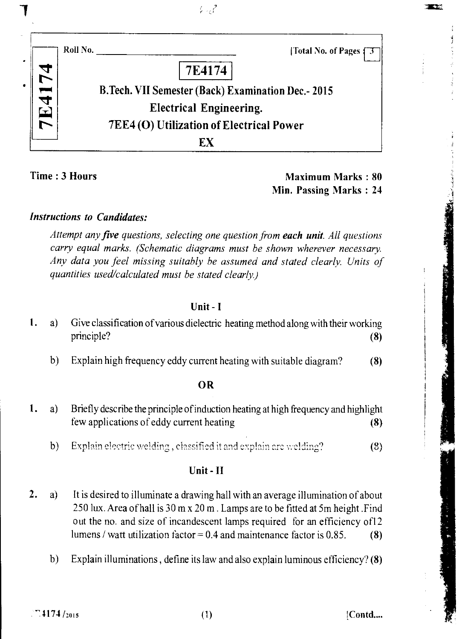|            | Roll No. |                                                    | [Total No. of Pages] |
|------------|----------|----------------------------------------------------|----------------------|
|            |          | 7E4174                                             |                      |
|            |          | B.Tech. VII Semester (Back) Examination Dec.- 2015 |                      |
| <b>E41</b> |          | <b>Electrical Engineering.</b>                     |                      |
|            |          | 7EE4 (O) Utilization of Electrical Power           |                      |
|            |          | FХ                                                 |                      |

 $\mathcal{G}_{\mathcal{M}}\mathcal{E}$ 

Time : 3 Hours **Maximum Marks** : 80 Min. Passing Marks : 24 **TEST** 

## *Instructions to Candidates:*

*Attempt any five questions, selecting one question from each unit. All questions carry equal marks. (Schematic diagrams must be shown wherever necessary. Any data you feel missing suitably be assumed and stated clearly. Units of quantities used/calculated must be stated clearly)* 

## Unit - I

- 1. a) Give classification of various dielectric heating method along with their working principle? (8)
	- b) Explain high frequency eddy current heating with suitable diagram? (8)

## OR

- 1. a) Briefly describe the principle of induction heating at high frequency and highlight few applications of eddy current heating (8)
	- b) Explain electric welding, classified it and explain arc welding?  $(8)$

## Unit - II

- 2. a) It is desired to illuminate a drawing hall with an average illumination of about 250 lux. Area of hall is 30 m x 20 m . Lamps are to be fitted at 5m height .Find out the no. and size of incandescent lamps required for an efficiency ofl2 lumens / watt utilization factor =  $0.4$  and maintenance factor is 0.85. (8)
	- b) Explain illuminations , define its law and also explain luminous efficiency? (8)

 $4174 / 2015$  [Contd....]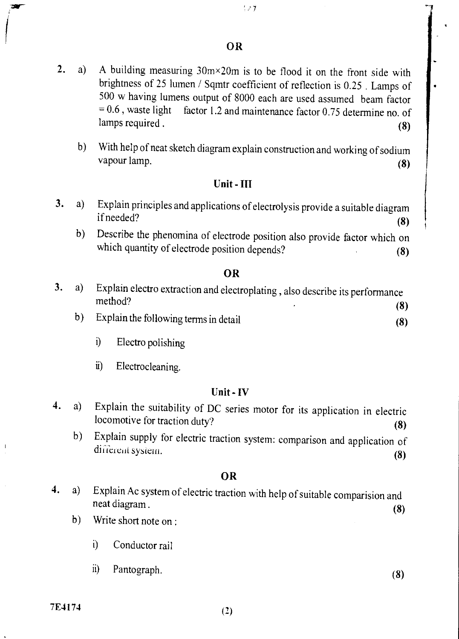## OR

- 2. a) A building measuring  $30m \times 20m$  is to be flood it on the front side with brightness of 25 lumen / Sqmtr coefficient of reflection is 0.25 . Lamps of 500 w having lumens output of 8000 each are used assumed beam factor  $= 0.6$ , waste light factor 1.2 and maintenance factor 0.75 determine no. of  $1000$  w having furter souput of 8000 each are used assumed beam factor  $= 0.6$ , waste light factor 1.2 and maintenance factor 0.75 determine no. of lamps required. (8)
	- b) With help of neat sketch diagram explain construction and working of sodium vapour lamp. (8)

## Unit - III

- 3. a) Explain principles and applications of electrolysis provide a suitable diagram if needed? if needed?  $(8)$ 
	- b) Describe the phenomina of electrode position also provide factor which on which quantity of electrode position depends? (8)

## OR

- 3. a) Explain electro extraction and electroplating, also describe its performance method? method?  $(8)$ 
	- b) Explain the following terms in detail (8)
		- i) Electro polishing
		- ii) Electrocleaning.

## Unit - IV

- 4. a) Explain the suitability of DC series motor for its application in electric locomotive for traction duty? (8)
	- b) Explain supply for electric traction system: comparison and application of different system.  $(8)$

## OR

- 4. a) Explain Ac system of electric traction with help of suitable comparision and neat diagram. neat diagram . (8)
	- b) Write short note on :
		- i) Conductor rail
		- $\ddot{a}$ Pantograph. (8)